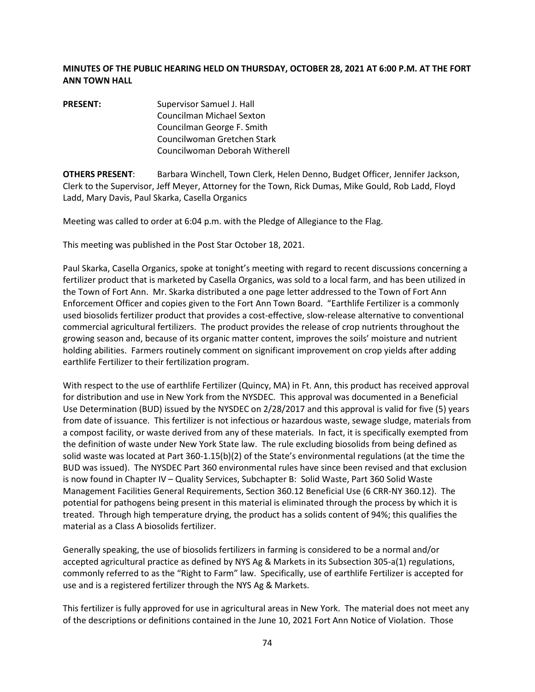## **MINUTES OF THE PUBLIC HEARING HELD ON THURSDAY, OCTOBER 28, 2021 AT 6:00 P.M. AT THE FORT ANN TOWN HALL**

**PRESENT:** Supervisor Samuel J. Hall Councilman Michael Sexton Councilman George F. Smith Councilwoman Gretchen Stark Councilwoman Deborah Witherell

**OTHERS PRESENT**: Barbara Winchell, Town Clerk, Helen Denno, Budget Officer, Jennifer Jackson, Clerk to the Supervisor, Jeff Meyer, Attorney for the Town, Rick Dumas, Mike Gould, Rob Ladd, Floyd Ladd, Mary Davis, Paul Skarka, Casella Organics

Meeting was called to order at 6:04 p.m. with the Pledge of Allegiance to the Flag.

This meeting was published in the Post Star October 18, 2021.

Paul Skarka, Casella Organics, spoke at tonight's meeting with regard to recent discussions concerning a fertilizer product that is marketed by Casella Organics, was sold to a local farm, and has been utilized in the Town of Fort Ann. Mr. Skarka distributed a one page letter addressed to the Town of Fort Ann Enforcement Officer and copies given to the Fort Ann Town Board. "Earthlife Fertilizer is a commonly used biosolids fertilizer product that provides a cost-effective, slow-release alternative to conventional commercial agricultural fertilizers. The product provides the release of crop nutrients throughout the growing season and, because of its organic matter content, improves the soils' moisture and nutrient holding abilities. Farmers routinely comment on significant improvement on crop yields after adding earthlife Fertilizer to their fertilization program.

With respect to the use of earthlife Fertilizer (Quincy, MA) in Ft. Ann, this product has received approval for distribution and use in New York from the NYSDEC. This approval was documented in a Beneficial Use Determination (BUD) issued by the NYSDEC on 2/28/2017 and this approval is valid for five (5) years from date of issuance. This fertilizer is not infectious or hazardous waste, sewage sludge, materials from a compost facility, or waste derived from any of these materials. In fact, it is specifically exempted from the definition of waste under New York State law. The rule excluding biosolids from being defined as solid waste was located at Part 360-1.15(b)(2) of the State's environmental regulations (at the time the BUD was issued). The NYSDEC Part 360 environmental rules have since been revised and that exclusion is now found in Chapter IV – Quality Services, Subchapter B: Solid Waste, Part 360 Solid Waste Management Facilities General Requirements, Section 360.12 Beneficial Use (6 CRR-NY 360.12). The potential for pathogens being present in this material is eliminated through the process by which it is treated. Through high temperature drying, the product has a solids content of 94%; this qualifies the material as a Class A biosolids fertilizer.

Generally speaking, the use of biosolids fertilizers in farming is considered to be a normal and/or accepted agricultural practice as defined by NYS Ag & Markets in its Subsection 305-a(1) regulations, commonly referred to as the "Right to Farm" law. Specifically, use of earthlife Fertilizer is accepted for use and is a registered fertilizer through the NYS Ag & Markets.

This fertilizer is fully approved for use in agricultural areas in New York. The material does not meet any of the descriptions or definitions contained in the June 10, 2021 Fort Ann Notice of Violation. Those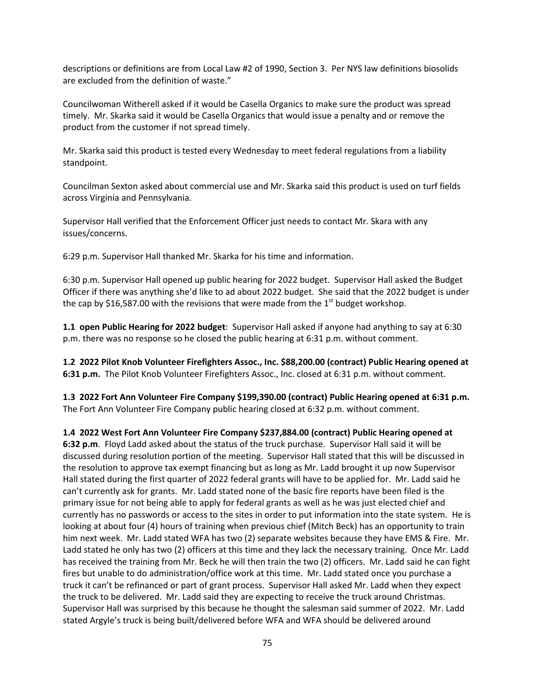descriptions or definitions are from Local Law #2 of 1990, Section 3. Per NYS law definitions biosolids are excluded from the definition of waste."

Councilwoman Witherell asked if it would be Casella Organics to make sure the product was spread timely. Mr. Skarka said it would be Casella Organics that would issue a penalty and or remove the product from the customer if not spread timely.

Mr. Skarka said this product is tested every Wednesday to meet federal regulations from a liability standpoint.

Councilman Sexton asked about commercial use and Mr. Skarka said this product is used on turf fields across Virginia and Pennsylvania.

Supervisor Hall verified that the Enforcement Officer just needs to contact Mr. Skara with any issues/concerns.

6:29 p.m. Supervisor Hall thanked Mr. Skarka for his time and information.

6:30 p.m. Supervisor Hall opened up public hearing for 2022 budget. Supervisor Hall asked the Budget Officer if there was anything she'd like to ad about 2022 budget. She said that the 2022 budget is under the cap by \$16,587.00 with the revisions that were made from the  $1<sup>st</sup>$  budget workshop.

**1.1 open Public Hearing for 2022 budget**: Supervisor Hall asked if anyone had anything to say at 6:30 p.m. there was no response so he closed the public hearing at 6:31 p.m. without comment.

**1.2 2022 Pilot Knob Volunteer Firefighters Assoc., Inc. \$88,200.00 (contract) Public Hearing opened at 6:31 p.m.** The Pilot Knob Volunteer Firefighters Assoc., Inc. closed at 6:31 p.m. without comment.

**1.3 2022 Fort Ann Volunteer Fire Company \$199,390.00 (contract) Public Hearing opened at 6:31 p.m.**  The Fort Ann Volunteer Fire Company public hearing closed at 6:32 p.m. without comment.

**1.4 2022 West Fort Ann Volunteer Fire Company \$237,884.00 (contract) Public Hearing opened at 6:32 p.m**. Floyd Ladd asked about the status of the truck purchase. Supervisor Hall said it will be discussed during resolution portion of the meeting. Supervisor Hall stated that this will be discussed in the resolution to approve tax exempt financing but as long as Mr. Ladd brought it up now Supervisor Hall stated during the first quarter of 2022 federal grants will have to be applied for. Mr. Ladd said he can't currently ask for grants. Mr. Ladd stated none of the basic fire reports have been filed is the primary issue for not being able to apply for federal grants as well as he was just elected chief and currently has no passwords or access to the sites in order to put information into the state system. He is looking at about four (4) hours of training when previous chief (Mitch Beck) has an opportunity to train him next week. Mr. Ladd stated WFA has two (2) separate websites because they have EMS & Fire. Mr. Ladd stated he only has two (2) officers at this time and they lack the necessary training. Once Mr. Ladd has received the training from Mr. Beck he will then train the two (2) officers. Mr. Ladd said he can fight fires but unable to do administration/office work at this time. Mr. Ladd stated once you purchase a truck it can't be refinanced or part of grant process. Supervisor Hall asked Mr. Ladd when they expect the truck to be delivered. Mr. Ladd said they are expecting to receive the truck around Christmas. Supervisor Hall was surprised by this because he thought the salesman said summer of 2022. Mr. Ladd stated Argyle's truck is being built/delivered before WFA and WFA should be delivered around